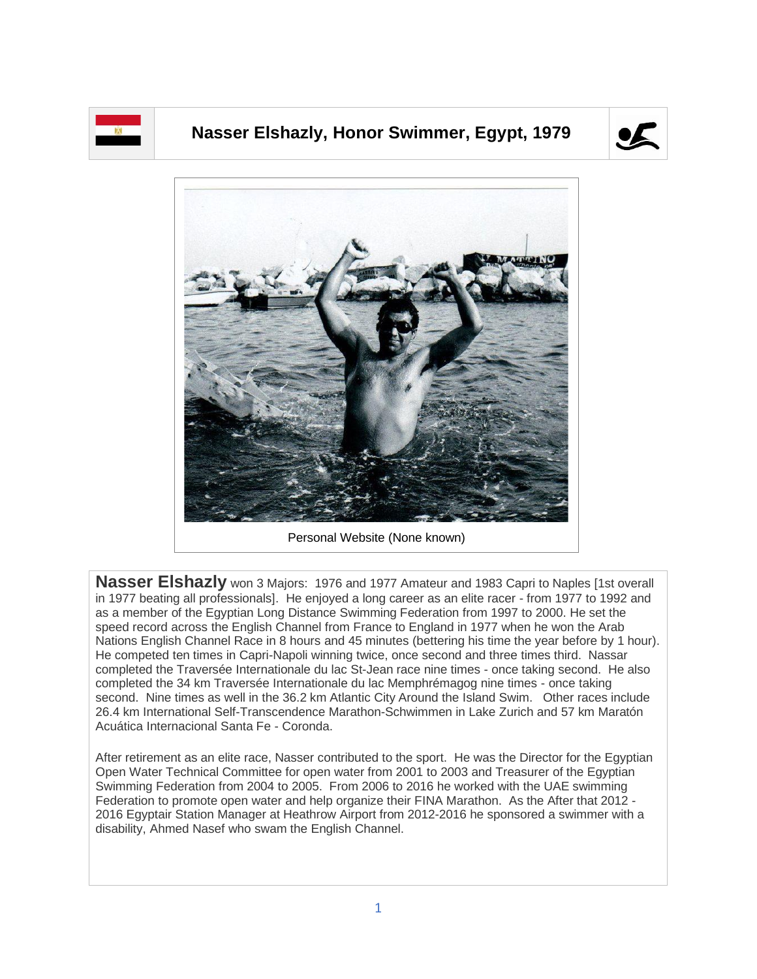

## **Nasser Elshazly, Honor Swimmer, Egypt, 1979**





Personal Website (None known)

**Nasser Elshazly** won 3 Majors: 1976 and 1977 Amateur and 1983 Capri to Naples [1st overall in 1977 beating all professionals]. He enjoyed a long career as an elite racer - from 1977 to 1992 and as a member of the Egyptian Long Distance Swimming Federation from 1997 to 2000. He set the speed record across the English Channel from France to England in 1977 when he won the Arab Nations English Channel Race in 8 hours and 45 minutes (bettering his time the year before by 1 hour). He competed ten times in Capri-Napoli winning twice, once second and three times third. Nassar completed the Traversée Internationale du lac St-Jean race nine times - once taking second. He also completed the 34 km Traversée Internationale du lac Memphrémagog nine times - once taking second. Nine times as well in the 36.2 km Atlantic City Around the Island Swim. Other races include 26.4 km International Self-Transcendence Marathon-Schwimmen in Lake Zurich and 57 km Maratón Acuática Internacional Santa Fe - Coronda.

After retirement as an elite race, Nasser contributed to the sport. He was the Director for the Egyptian Open Water Technical Committee for open water from 2001 to 2003 and Treasurer of the Egyptian Swimming Federation from 2004 to 2005. From 2006 to 2016 he worked with the UAE swimming Federation to promote open water and help organize their FINA Marathon. As the After that 2012 - 2016 Egyptair Station Manager at Heathrow Airport from 2012-2016 he sponsored a swimmer with a disability, Ahmed Nasef who swam the English Channel.